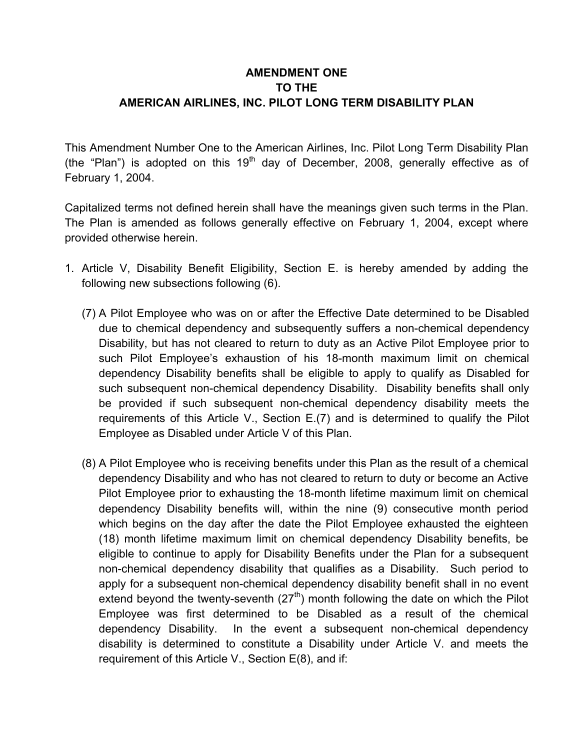## **AMENDMENT ONE TO THE AMERICAN AIRLINES, INC. PILOT LONG TERM DISABILITY PLAN**

This Amendment Number One to the American Airlines, Inc. Pilot Long Term Disability Plan (the "Plan") is adopted on this  $19<sup>th</sup>$  day of December, 2008, generally effective as of February 1, 2004.

Capitalized terms not defined herein shall have the meanings given such terms in the Plan. The Plan is amended as follows generally effective on February 1, 2004, except where provided otherwise herein.

- 1. Article V, Disability Benefit Eligibility, Section E. is hereby amended by adding the following new subsections following (6).
	- (7) A Pilot Employee who was on or after the Effective Date determined to be Disabled due to chemical dependency and subsequently suffers a non-chemical dependency Disability, but has not cleared to return to duty as an Active Pilot Employee prior to such Pilot Employee's exhaustion of his 18-month maximum limit on chemical dependency Disability benefits shall be eligible to apply to qualify as Disabled for such subsequent non-chemical dependency Disability. Disability benefits shall only be provided if such subsequent non-chemical dependency disability meets the requirements of this Article V., Section E.(7) and is determined to qualify the Pilot Employee as Disabled under Article V of this Plan.
	- (8) A Pilot Employee who is receiving benefits under this Plan as the result of a chemical dependency Disability and who has not cleared to return to duty or become an Active Pilot Employee prior to exhausting the 18-month lifetime maximum limit on chemical dependency Disability benefits will, within the nine (9) consecutive month period which begins on the day after the date the Pilot Employee exhausted the eighteen (18) month lifetime maximum limit on chemical dependency Disability benefits, be eligible to continue to apply for Disability Benefits under the Plan for a subsequent non-chemical dependency disability that qualifies as a Disability. Such period to apply for a subsequent non-chemical dependency disability benefit shall in no event extend beyond the twenty-seventh  $(27<sup>th</sup>)$  month following the date on which the Pilot Employee was first determined to be Disabled as a result of the chemical dependency Disability. In the event a subsequent non-chemical dependency disability is determined to constitute a Disability under Article V. and meets the requirement of this Article V., Section E(8), and if: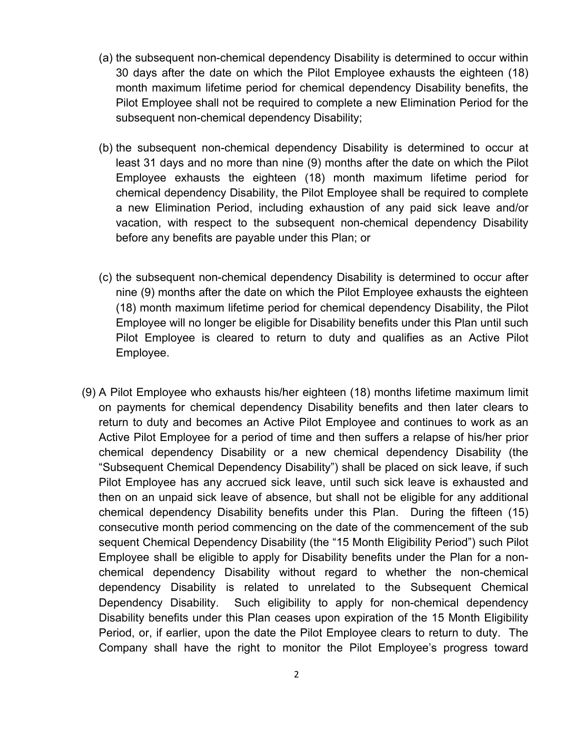- (a) the subsequent non-chemical dependency Disability is determined to occur within 30 days after the date on which the Pilot Employee exhausts the eighteen (18) month maximum lifetime period for chemical dependency Disability benefits, the Pilot Employee shall not be required to complete a new Elimination Period for the subsequent non-chemical dependency Disability;
- (b) the subsequent non-chemical dependency Disability is determined to occur at least 31 days and no more than nine (9) months after the date on which the Pilot Employee exhausts the eighteen (18) month maximum lifetime period for chemical dependency Disability, the Pilot Employee shall be required to complete a new Elimination Period, including exhaustion of any paid sick leave and/or vacation, with respect to the subsequent non-chemical dependency Disability before any benefits are payable under this Plan; or
- (c) the subsequent non-chemical dependency Disability is determined to occur after nine (9) months after the date on which the Pilot Employee exhausts the eighteen (18) month maximum lifetime period for chemical dependency Disability, the Pilot Employee will no longer be eligible for Disability benefits under this Plan until such Pilot Employee is cleared to return to duty and qualifies as an Active Pilot Employee.
- (9) A Pilot Employee who exhausts his/her eighteen (18) months lifetime maximum limit on payments for chemical dependency Disability benefits and then later clears to return to duty and becomes an Active Pilot Employee and continues to work as an Active Pilot Employee for a period of time and then suffers a relapse of his/her prior chemical dependency Disability or a new chemical dependency Disability (the "Subsequent Chemical Dependency Disability") shall be placed on sick leave, if such Pilot Employee has any accrued sick leave, until such sick leave is exhausted and then on an unpaid sick leave of absence, but shall not be eligible for any additional chemical dependency Disability benefits under this Plan. During the fifteen (15) consecutive month period commencing on the date of the commencement of the sub sequent Chemical Dependency Disability (the "15 Month Eligibility Period") such Pilot Employee shall be eligible to apply for Disability benefits under the Plan for a nonchemical dependency Disability without regard to whether the non-chemical dependency Disability is related to unrelated to the Subsequent Chemical Dependency Disability. Such eligibility to apply for non-chemical dependency Disability benefits under this Plan ceases upon expiration of the 15 Month Eligibility Period, or, if earlier, upon the date the Pilot Employee clears to return to duty. The Company shall have the right to monitor the Pilot Employee's progress toward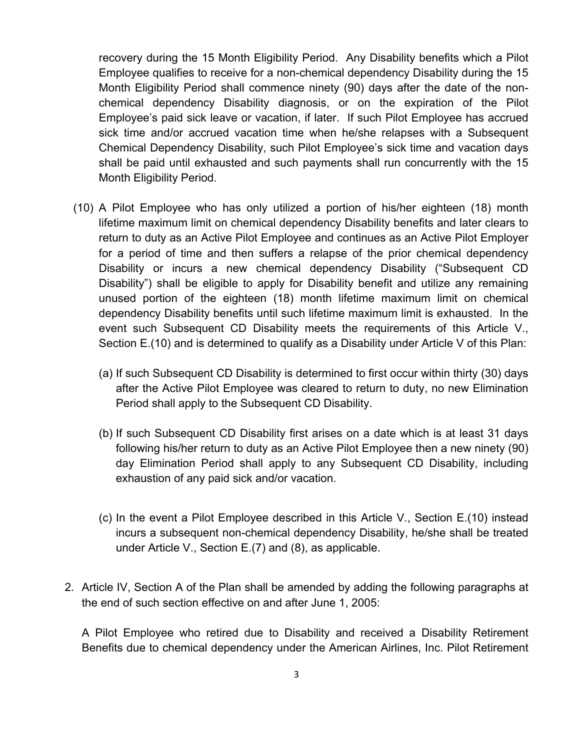recovery during the 15 Month Eligibility Period. Any Disability benefits which a Pilot Employee qualifies to receive for a non-chemical dependency Disability during the 15 Month Eligibility Period shall commence ninety (90) days after the date of the nonchemical dependency Disability diagnosis, or on the expiration of the Pilot Employee's paid sick leave or vacation, if later. If such Pilot Employee has accrued sick time and/or accrued vacation time when he/she relapses with a Subsequent Chemical Dependency Disability, such Pilot Employee's sick time and vacation days shall be paid until exhausted and such payments shall run concurrently with the 15 Month Eligibility Period.

- (10) A Pilot Employee who has only utilized a portion of his/her eighteen (18) month lifetime maximum limit on chemical dependency Disability benefits and later clears to return to duty as an Active Pilot Employee and continues as an Active Pilot Employer for a period of time and then suffers a relapse of the prior chemical dependency Disability or incurs a new chemical dependency Disability ("Subsequent CD Disability") shall be eligible to apply for Disability benefit and utilize any remaining unused portion of the eighteen (18) month lifetime maximum limit on chemical dependency Disability benefits until such lifetime maximum limit is exhausted. In the event such Subsequent CD Disability meets the requirements of this Article V., Section E.(10) and is determined to qualify as a Disability under Article V of this Plan:
	- (a) If such Subsequent CD Disability is determined to first occur within thirty (30) days after the Active Pilot Employee was cleared to return to duty, no new Elimination Period shall apply to the Subsequent CD Disability.
	- (b) If such Subsequent CD Disability first arises on a date which is at least 31 days following his/her return to duty as an Active Pilot Employee then a new ninety (90) day Elimination Period shall apply to any Subsequent CD Disability, including exhaustion of any paid sick and/or vacation.
	- (c) In the event a Pilot Employee described in this Article V., Section E.(10) instead incurs a subsequent non-chemical dependency Disability, he/she shall be treated under Article V., Section E.(7) and (8), as applicable.
- 2. Article IV, Section A of the Plan shall be amended by adding the following paragraphs at the end of such section effective on and after June 1, 2005:

A Pilot Employee who retired due to Disability and received a Disability Retirement Benefits due to chemical dependency under the American Airlines, Inc. Pilot Retirement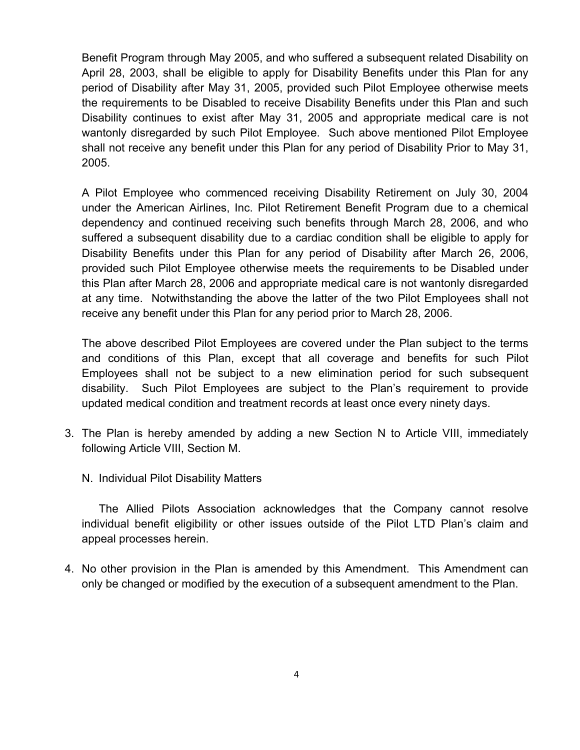Benefit Program through May 2005, and who suffered a subsequent related Disability on April 28, 2003, shall be eligible to apply for Disability Benefits under this Plan for any period of Disability after May 31, 2005, provided such Pilot Employee otherwise meets the requirements to be Disabled to receive Disability Benefits under this Plan and such Disability continues to exist after May 31, 2005 and appropriate medical care is not wantonly disregarded by such Pilot Employee. Such above mentioned Pilot Employee shall not receive any benefit under this Plan for any period of Disability Prior to May 31, 2005.

A Pilot Employee who commenced receiving Disability Retirement on July 30, 2004 under the American Airlines, Inc. Pilot Retirement Benefit Program due to a chemical dependency and continued receiving such benefits through March 28, 2006, and who suffered a subsequent disability due to a cardiac condition shall be eligible to apply for Disability Benefits under this Plan for any period of Disability after March 26, 2006, provided such Pilot Employee otherwise meets the requirements to be Disabled under this Plan after March 28, 2006 and appropriate medical care is not wantonly disregarded at any time. Notwithstanding the above the latter of the two Pilot Employees shall not receive any benefit under this Plan for any period prior to March 28, 2006.

The above described Pilot Employees are covered under the Plan subject to the terms and conditions of this Plan, except that all coverage and benefits for such Pilot Employees shall not be subject to a new elimination period for such subsequent disability. Such Pilot Employees are subject to the Plan's requirement to provide updated medical condition and treatment records at least once every ninety days.

- 3. The Plan is hereby amended by adding a new Section N to Article VIII, immediately following Article VIII, Section M.
	- N. Individual Pilot Disability Matters

The Allied Pilots Association acknowledges that the Company cannot resolve individual benefit eligibility or other issues outside of the Pilot LTD Plan's claim and appeal processes herein.

4. No other provision in the Plan is amended by this Amendment. This Amendment can only be changed or modified by the execution of a subsequent amendment to the Plan.